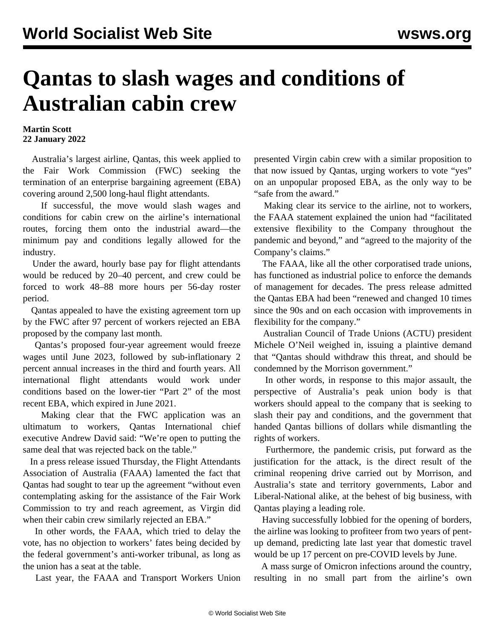## **Qantas to slash wages and conditions of Australian cabin crew**

## **Martin Scott 22 January 2022**

 Australia's largest airline, Qantas, this week applied to the Fair Work Commission (FWC) seeking the termination of an enterprise bargaining agreement (EBA) covering around 2,500 long-haul flight attendants.

 If successful, the move would slash wages and conditions for cabin crew on the airline's international routes, forcing them onto the industrial award—the minimum pay and conditions legally allowed for the industry.

 Under the award, hourly base pay for flight attendants would be reduced by 20–40 percent, and crew could be forced to work 48–88 more hours per 56-day roster period.

 Qantas appealed to have the existing agreement torn up by the FWC after 97 percent of workers rejected an EBA proposed by the company last month.

 Qantas's proposed four-year agreement would freeze wages until June 2023, followed by sub-inflationary 2 percent annual increases in the third and fourth years. All international flight attendants would work under conditions based on the lower-tier "Part 2" of the most recent EBA, which expired in June 2021.

 Making clear that the FWC application was an ultimatum to workers, Qantas International chief executive Andrew David said: "We're open to putting the same deal that was rejected back on the table."

 In a press release issued Thursday, the Flight Attendants Association of Australia (FAAA) lamented the fact that Qantas had sought to tear up the agreement "without even contemplating asking for the assistance of the Fair Work Commission to try and reach agreement, as Virgin did when their cabin crew similarly rejected an EBA."

 In other words, the FAAA, which tried to delay the vote, has no objection to workers' fates being decided by the federal government's anti-worker tribunal, as long as the union has a seat at the table.

Last year, the FAAA and Transport Workers Union

presented Virgin cabin crew with a similar proposition to that now issued by Qantas, urging workers to vote "yes" on an unpopular proposed EBA, as the only way to be "safe from the award."

 Making clear its service to the airline, not to workers, the FAAA statement explained the union had "facilitated extensive flexibility to the Company throughout the pandemic and beyond," and "agreed to the majority of the Company's claims."

 The FAAA, like all the other corporatised trade unions, has functioned as industrial police to enforce the demands of management for decades. The press release admitted the Qantas EBA had been "renewed and changed 10 times since the 90s and on each occasion with improvements in flexibility for the company."

 Australian Council of Trade Unions (ACTU) president Michele O'Neil weighed in, issuing a plaintive demand that "Qantas should withdraw this threat, and should be condemned by the Morrison government."

 In other words, in response to this major assault, the perspective of Australia's peak union body is that workers should appeal to the company that is seeking to slash their pay and conditions, and the government that handed Qantas billions of dollars while dismantling the rights of workers.

 Furthermore, the pandemic crisis, put forward as the justification for the attack, is the direct result of the criminal reopening drive carried out by Morrison, and Australia's state and territory governments, Labor and Liberal-National alike, at the behest of big business, with Qantas playing a leading role.

 Having successfully lobbied for the opening of borders, the airline was looking to profiteer from two years of pentup demand, predicting late last year that domestic travel would be up 17 percent on pre-COVID levels by June.

 A mass surge of Omicron infections around the country, resulting in no small part from the airline's own